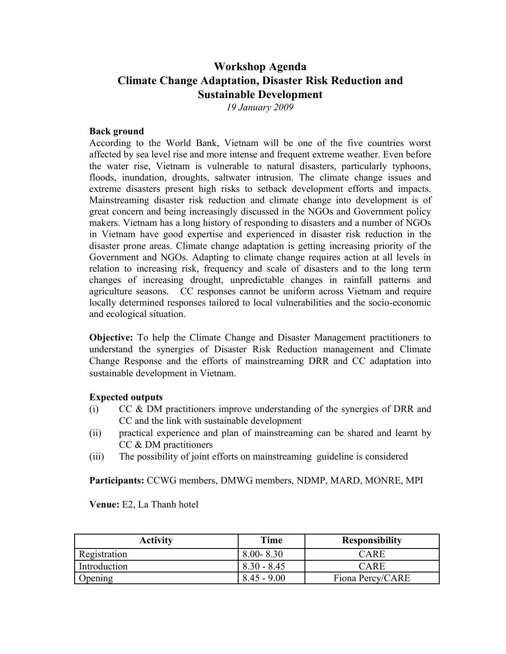## **Workshop Agenda Climate Change Adaptation, Disaster Risk Reduction and Sustainable Development**

*19 January 2009*

## **Back ground**

According to the World Bank, Vietnam will be one of the five countries worst affected by sea level rise and more intense and frequent extreme weather. Even before the water rise, Vietnam is vulnerable to natural disasters, particularly typhoons, floods, inundation, droughts, saltwater intrusion. The climate change issues and extreme disasters present high risks to setback development efforts and impacts. Mainstreaming disaster risk reduction and climate change into development is of great concern and being increasingly discussed in the NGOs and Government policy makers. Vietnam has a long history of responding to disasters and a number of NGOs in Vietnam have good expertise and experienced in disaster risk reduction in the disaster prone areas. Climate change adaptation is getting increasing priority of the Government and NGOs. Adapting to climate change requires action at all levels in relation to increasing risk, frequency and scale of disasters and to the long term changes of increasing drought, unpredictable changes in rainfall patterns and agriculture seasons. CC responses cannot be uniform across Vietnam and require locally determined responses tailored to local vulnerabilities and the socio-economic and ecological situation.

**Objective:** To help the Climate Change and Disaster Management practitioners to understand the synergies of Disaster Risk Reduction management and Climate Change Response and the efforts of mainstreaming DRR and CC adaptation into sustainable development in Vietnam.

## **Expected outputs**

- (i) CC & DM practitioners improve understanding of the synergies of DRR and CC and the link with sustainable development
- (ii) practical experience and plan of mainstreaming can be shared and learnt by CC & DM practitioners
- (iii) The possibility of joint efforts on mainstreaming guideline is considered

**Participants:** CCWG members, DMWG members, NDMP, MARD, MONRE, MPI

**Venue:** E2, La Thanh hotel

| <b>Activity</b> | Time          | <b>Responsibility</b> |
|-----------------|---------------|-----------------------|
| Registration    | $8.00 - 8.30$ | CARE                  |
| Introduction    | $8.30 - 8.45$ | CARE                  |
| Opening         | $8.45 - 9.00$ | Fiona Percy/CARE      |